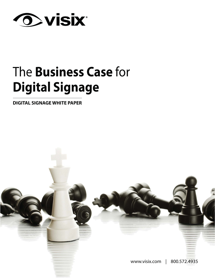

# The **Business Case** for **Digital Signage**

**DIGITAL SIGNAGE WHITE PAPER**

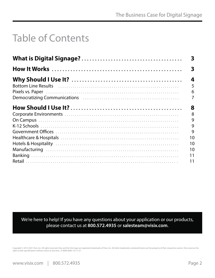## Table of Contents

|                                                                                                                                                                                                                     | 3                |
|---------------------------------------------------------------------------------------------------------------------------------------------------------------------------------------------------------------------|------------------|
|                                                                                                                                                                                                                     | 3                |
| Bottom Line Results (all contains and contained all contains and containing a bottom Line Results<br>Democratizing Communications (Education Communications of Education Communications of Education Communications | 4<br>5<br>6<br>7 |
|                                                                                                                                                                                                                     | 8                |
|                                                                                                                                                                                                                     | 8                |
|                                                                                                                                                                                                                     | 9                |
|                                                                                                                                                                                                                     | 9                |
|                                                                                                                                                                                                                     | 9                |
|                                                                                                                                                                                                                     | 10               |
|                                                                                                                                                                                                                     | 10               |
|                                                                                                                                                                                                                     | 10               |
|                                                                                                                                                                                                                     | 11               |
|                                                                                                                                                                                                                     | 11               |

We're here to help! If you have any questions about your application or our products, please contact us at **800.572.4935** or **[salesteam@visix.com](mailto:salesteam%40visix.com?subject=I%20read%20your%20white%20paper%20and%20have%20a%20few%20questions)**.

Copyright © 2013-2021 Visix, Inc. All rights reserved. Visix and the Visix logo are registered trademarks of Visix, Inc. All other trademarks contained herein are the property of their respective owners. Visix reserves the right to alter specifications without notice at any time. D-MAR-0000-133 11/21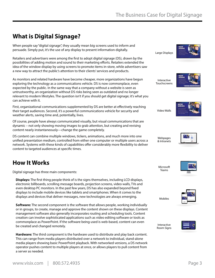### <span id="page-2-0"></span>**What is Digital Signage?**

When people say "digital signage", they usually mean big screens used to inform and persuade. Simply put, it's the use of any display to present information digitally.

Retailers and advertisers were among the first to adopt digital signage (DS), drawn by the possibilities of adding motion and sound to their marketing efforts. Retailers extended the idea of the window display by using screens to promote items in-store, while advertisers saw a new way to attract the public's attention to their clients' services and products.

As monitors and related hardware have become cheaper, more organizations have begun exploring the technology as a communications vehicle. DS is now commonplace, even expected by the public. In the same way that a company without a website is seen as untrustworthy, an organization without DS risks being seen as outdated and no longer relevant to modern lifestyles. The question isn't if you should get digital signage; it's what you can achieve with it.

First, organizational communications supplemented by DS are better at effectively reaching their target audiences. Second, it's a powerful communications vehicle for security and weather alerts, saving time and, potentially, lives.

Of course, people have always communicated visually, but visual communications that are dynamic – not only showing moving images to grab attention, but creating and revising content nearly instantaneously—change the game completely.

DS content can combine multiple windows, tickers, animations, and much more into one unified presentation medium, controlled from either one computer or multiple users across a network. Systems with these kinds of capabilities offer considerably more flexibility to deliver content to targeted audiences at specific times.

### **How It Works**

Digital signage has three main components:

**Displays:** The first thing people think of is the signs themselves, including LCD displays, electronic billboards, scrolling message boards, projection screens, video walls, TVs and even desktop PC monitors. In the past few years, DS has also expanded beyond fixed displays to include mobile devices like tablets and smartphones. When it comes to the displays and devices that deliver messages, new technologies are always emerging.

**Software:** The second component is the software that allows people, working individually or in groups, to create, manage and approve the content shown on these displays. Content management software also generally incorporates routing and scheduling tools. Content creation can involve sophisticated applications such as video editing software or tools as commonplace as PowerPoint. If the software being used is web-based, content can even be created and changed remotely.

**Hardware:** The third component is the hardware used to distribute and play back content. This can range from media players distributed over a network to individual, stand-alone media players showing basic PowerPoint playback. With networked versions, a DS network operator pushes content to multiple players at once, or allows players to pull content from a server as needed.

Large Displays

Interactive **Touchscreens** 

Video Walls





Webpages & Intranets



Microsoft Teams



Mobiles



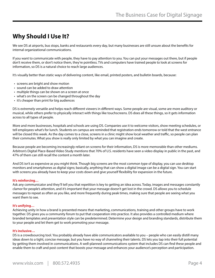### <span id="page-3-0"></span>**Why Should I Use It?**

We see DS at airports, bus stops, banks and restaurants every day, but many businesses are still unsure about the benefits for internal organizational communications.

If you want to communicate with people, they have to pay attention to you. You can put your messages out there, but if people don't receive them, or don't notice them, they're pointless. TVs and computers have trained people to look at screens for information, so DS is a natural choice to reach large audiences.

It's visually better than static ways of delivering content, like email, printed posters, and bulletin boards, because:

- screens are bright and show motion
- sound can be added to draw attention
- multiple things can be shown on a screen at once
- what's on the screen can be changed throughout the day
- it's cheaper than print for big audiences

DS is extremely versatile and helps reach different viewers in different ways. Some people are visual, some are more auditory or musical, while others prefer to physically interact with things like touchscreens. DS does all these things, so it gets information across to all types of people.

More and more businesses, hospitals and schools are using DS. Companies use it to welcome visitors, show meeting schedules, or tell employees what's for lunch. Students on campus are reminded that registration ends tomorrow or told that the west entrance will be closed this week. As the day comes to a close, screens in a clinic might show local weather and traffic, so people can plan their commutes. What you show is really only limited by what you can imagine and create.

Because people are becoming increasingly reliant on screens for their information, DS is more memorable than other mediums. [Arbitron's Digital Place-Based Video Study](http://www.arbitron.com/downloads/2010_digital_video_display_study.pdf) mentions that 70% of U.S. residents have seen a video display in public in the past, and 47% of them can still recall the content a month later.

And DS isn't as expensive as you might think. Though big screens are the most common type of display, you can use desktop monitors and smartphones as digital signs; basically, anything that can show a digital image can be a digital sign. You can start with screens you already have to keep your costs down and give yourself flexibility for expansion in the future.

#### **It's reinforcing…**

Ask any communicator and they'll tell you that repetition is key to getting an idea across. Today, images and messages constantly clamor for people's attention, and it's important that your message doesn't get lost in the crowd. DS allows you to schedule messages to repeat as often as you like, and more frequently during peak times, making sure that people are seeing what you want them to see.

#### **It's unifying…**

Achieving unity in how a brand is presented means that marketing, communications, training and other groups have to work together. DS gives you a community forum to put that cooperation into practice. It also provides a controlled medium where branded templates and presentation style can be predetermined. Determine your design and branding standards, distribute them to your people and let them get to work promoting your message.

#### **It's inclusive…**

DS is a crowdsourcing tool. You probably already have able communicators available to you – people who can easily distill many ideas down to a tight, concise message, but you have no way of channeling their talents. DS lets you tap into their full potential by getting them involved in communications. A well-planned communications system that includes DS can find these people and enable them to craft and post content that boosts your message and enhances your audience's perception and participation.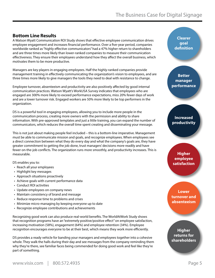### <span id="page-4-0"></span>**Bottom Line Results**

A [Watson Wyatt Communication ROI Study](http://www.towerswatson.com/en-CA/Insights/IC-Types/Survey-Research-Results/2009/12/20092010-Communication-ROI-Study-Report-Capitalizing-on-Effective-Communication) shows that effective employee communication drives employee engagement and increases financial performance. Over a five-year period, companies worldwide ranked as "highly effective communicators" had a 47% higher return to shareholders and are three times more likely than lower-ranked companies to measure their communication effectiveness. They ensure their employees understand how they affect the overall business, which motivates them to be more productive.

Managers are key players in engaging employees. Half the highly-ranked companies provide management training in effectively communicating the organization's vision to employees, and are three times more likely to give managers the tools they need to deal with resistance to change.

Employee turnover, absenteeism and productivity are also positively affected by good internal communication practices. [Watson Wyatt's WorkUSA Survey](http://www.watsonwyatt.com/render.asp?catid=1&id=20559) indicates that employees who are engaged are 300% more likely to exceed performance expectations, miss 20% fewer days of work and are a lower turnover risk. Engaged workers are 50% more likely to be top performers in the organization.

DS is a powerful tool in engaging employees, allowing you to include more people in the communication process, creating more owners with the permission and ability to share information. With pre-approved templates and just a little training, you can expand the number of communicators, which reduces the overall time spent creating and disseminating your message.

This is not just about making people feel included – this is a bottom-line imperative. Management must be able to communicate mission and goals, and recognize employees. When employees see a direct connection between what they do every day and what the company's goals are, they have greater commitment to getting the job done, trust managers' decisions more readily and have fewer on-the-job conflicts. The organization runs more smoothly, and productivity increases. This is measurable.

DS enables you to:

- Reach all your employees
- Highlight key messages
- Approach situations proactively
- Achieve goals with current performance data
- Conduct ROI activities
- Update employees on company news
- Maintain consistency of brand and message
- Reduce response time to problems and crises
- Minimize micro-managing by keeping everyone up to date
- Recognize employee contributions and achievements

Recognizing good work can also produce real-world benefits. The [WorldAtWork Study](http://www.worldatwork.org/waw/adimLink?id=72689) shows that recognition programs have an "extremely positive/positive effect" on employee satisfaction, increasing motivation (58%), engagement (64%) and employee retention (34%). Employee recognition encourages everyone to be at their best, which means they work more efficiently.

DS provides a ready vehicle for banding your managers and employees together into a cohesive whole. They walk the halls during their day and see messages from the company reminding them why they're there, see familiar faces being commended for doing good work and feel like they're part of something.

**Clearer goal definition** 

**Better manager performance**

**Increased productivity** 

**Higher employee satisfaction** 

**Lower turnover and absenteeism**

**Higher returns for shareholders**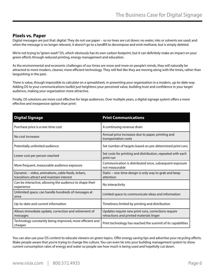#### <span id="page-5-0"></span>**Pixels vs. Paper**

Digital messages are just that: digital. They do not use paper – so no trees are cut down; no water, inks or solvents are used; and when the message is no longer relevant, it doesn't go to a landfill to decompose and emit methane, but is simply deleted.

We're not trying to "green wash" DS, which obviously has its own carbon footprint, but it can definitely make an impact on your green efforts through reduced printing, energy management and education.

As the environmental and economic challenges of our times are more and more on people's minds, they will naturally be attracted to more modern, cleaner, more efficient technology. They will feel like they are moving along with the times, rather than languishing in the past.

There is value, though impossible to calculate on a spreadsheet, in presenting your organization in a modern, up-to-date way. Adding DS to your communications toolkit just heightens your perceived value, building trust and confidence in your target audience, making your organization more attractive.

Finally, DS solutions are more cost effective for large audiences. Over multiple years, a digital signage system offers a more effective and inexpensive option than print:

| <b>Digital Signage</b>                                                                          | <b>Print Communications</b>                                                                     |
|-------------------------------------------------------------------------------------------------|-------------------------------------------------------------------------------------------------|
| Purchase price is a one-time cost                                                               | A continuing revenue drain                                                                      |
| No cost increases                                                                               | Annual price increases due to paper, printing and<br>transportation costs                       |
| Potentially unlimited audience                                                                  | Set number of targets based on pre-determined print runs                                        |
| Lower cost per person reached                                                                   | Set costs for printing and distribution, repeated with each<br>print run                        |
| More frequent, measurable audience exposure                                                     | Communication is distributed once, subsequent exposure<br>not measurable                        |
| Dynamic – video, animations, cable feeds, tickers,<br>transitions attract and maintain interest | Static – one-time design is only way to grab and keep<br>attention                              |
| Can be interactive, allowing the audience to shape their<br>experience                          | No interactivity                                                                                |
| Unlimited space, can handle hundreds of messages at<br>once                                     | Limited space to communicate ideas and information                                              |
| Up-to-date and current information                                                              | Timeliness limited by printing and distribution                                                 |
| Allows immediate update, correction and retirement of<br>messages                               | Updates require new print runs, corrections require<br>retractions and printed materials linger |
| Technology constantly being improved, more efficient and<br>cheaper                             | Print technology has reached the summit of its capabilities                                     |

You can also use your DS content to educate viewers on green topics. Offer energy saving tips and advertise your recycling efforts. Make people aware that you're trying to change the culture. You can even tie into your building management system to show current consumption rates of energy and water so people see how much is being used and hopefully cut down.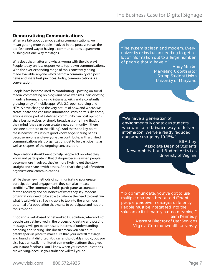### <span id="page-6-0"></span>**Democratizing Communications**

When we talk about democratizing communications, we mean getting more people involved in the process versus the old-fashioned way of having a communications department pushing out one-way messages.

Why does that matter and what's wrong with the old way? People today are less responsive to top-down communications. With the ever-expanding range of tools constantly being made available, anyone who's part of a community can post news and share best practices. Today, communications is a conversation.

People have become used to contributing – posting on social media, commenting on blogs and news websites, participating in online forums, and using intranets, wikis and a constantly growing array of mobile apps. Web 2.0, open sourcing and HTML5 have changed the very nature of how, and where, we create, share and consume information. With portals like these, anyone who's part of a defined community can post opinions, share best practices, or simply broadcast something that's on their mind (they can even create a new community if there isn't one out there to their liking). And that's the key point these new forums inspire good knowledge-sharing habits because anyone and everyone can contribute. With a unified communications plan, organizations get to be participants, as well as shapers, of the ongoing conversation.

Organizations should want to help people act on what they know and participate in that dialogue because when people become more involved, they're more likely to get the story straight and share it with others. And that's the goal of modern organizational communications.

While these new methods of communicating spur greater participation and engagement, they can also impact credibility. The community holds participants accountable for the accuracy and soundness of what they say. Modern organizations need to be able to balance the need to constrain what is said while still being able to tap into the enormous potential of a population that wants to participate and has the tools to do so.

Choosing a web-based or networked DS solution, where lots of people can get involved in the process of creating and posting messages, will get better results in terms of understanding, branding and sharing. This doesn't mean you can't put gatekeepers in place to make sure that your overall message and brand isn't distorted. You can and probably should, but you also have an easily-monitored community platform that gives you instant feedback. You'll know when your communications are working, because you audience will tell you so.

"The system is clean and modern. Every university or institution needing to get a lot of information out to a large number of people should have it."

> *Andy Mrusko Marketing Coordinator Stamp Student Union University of Maryland*

"We have a generation of environmentally conscious students who want a sustainable way to deliver information. We've already reduced our paper usage by 10-15%."

*Bill Ashby Associate Dean of Students Newcomb Hall and Student Activities University of Virginia*



"To communicate, you've got to use multiple channels because different people perceive messages differently. People must be integrated into the solution or it ultimately has no meaning." *Sam Kennedy Assistant Director of User Services Virginia Commonwealth University*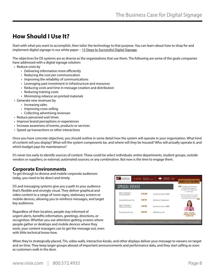### <span id="page-7-0"></span>**How Should I Use It?**

Start with what you want to accomplish, then tailor the technology to that purpose. You can learn about how to shop for and implement digital signage in our white paper - [13 Steps to Successful Digital Signage.](http://www.visix.com/13-steps-successful-digital-signage.html)

The objectives for DS systems are as diverse as the organizations that use them. The following are some of the goals companies have addressed with a digital signage solution:

- Reduce costs by
	- Delivering information more efficiently
	- Reducing the cost per communication
	- Improving the reliability of communications
	- Leveraging past investment in infrastructure and resources
	- Reducing costs and time in message creation and distribution
	- Reducing training costs
	- Minimizing reliance on printed materials
- Generate new revenues by
	- Increasing sales
	- Improving cross-selling
	- Collecting advertising revenues
- Reduce perceived wait times
- Improve brand perceptions or experiences
- Increase awareness of events, products or services
- Speed up transactions or other interactions

Once you have concrete objectives, you should outline in some detail how the system will operate in your organization. What kind of content will you display? What will the system components be, and where will they be housed? Who will actually operate it, and which budget pays for maintenance?

It's never too early to identify sources of content. These could be select individuals; entire departments, student groups, outside vendors or suppliers; or external, automated sources; or any combination. But now is the time to engage them.

### **Corporate Environments**

To get through to diverse and mobile corporate audiences today, you need to be direct and timely.

DS and messaging systems give you a path to your audience that's flexible and strongly visual. They deliver graphical and video content to a range of room signs, stationary screens or mobile devices, allowing you to reinforce messages, and target key audiences.

Regardless of their location, people stay informed of urgent alerts, benefits information, greetings, directions, or recognition. Whether you use attention-getting screens where people gather or desktops and mobile devices where they work, your content managers can to get the message out, even with little technical know-how.



When they're strategically placed, TVs, video walls, interactive kiosks, and other displays deliver your message to viewers on target and on time. They keep larger groups abreast of important announcements and performance data, and they start selling as soon as customers walk in the door.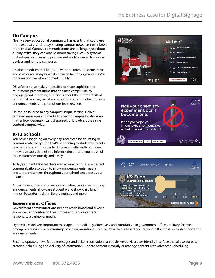### **On Campus**

Nearly every educational community has events that could use more exposure, and today, sharing campus news has never been more critical. Campus communications are no longer just about quality of life; they can also be about saving lives. DS systems make it quick and easy to push urgent updates, even to mobile devices and remote campuses.

It's also a medium that keeps up with the times. Students, staff and visitors are savvy when it comes to technology, and they're more responsive when notified visually.

DS software also makes it possible to share sophisticated multimedia presentations that enhance campus life by engaging and informing audiences about the many details of residential services, social and athletic programs, administrative announcements, and promotions from retailers.

DS can be tailored to any campus' unique setting. Deliver targeted messages and media to specific campus locations no matter how geographically dispersed, or broadcast the same content campus-wide.

### **K-12 Schools**

You have a lot going on every day, and it can be daunting to communicate everything that's happening to students, parents, teachers and staff. In order to do your job efficiently, you need innovative tools that let you inform, educate and engage all of those audiences quickly and easily.

Today's students and teachers are tech-savvy, so DS is a perfect communication solution to show announcements, media and alerts on screens throughout your school and across your district.

Advertise events and after-school activities, centralize morning announcements, showcase student work, show daily lunch menus, PowerPoint slides, library notices and more.

### **Government Offices**

Government communications need to reach broad and diverse audiences, and visitors to their offices and service centers respond to a variety of media.







Dynamic DS delivers important messages - immediately, effectively and affordably - to government offices, military facilities, emergency services, or community-based organizations. Because it's network based, you can share the most up-to-date news and announcements.

Security updates, news feeds, messages and ticker information can be delivered via a user-friendly interface that allows for easy creation, scheduling and delivery of information. Update content instantly or manage content with advanced scheduling.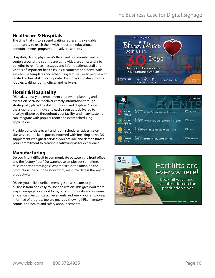### **Healthcare & Hospitals**

The time that visitors spend waiting represents a valuable opportunity to reach them with important educational announcements, programs and advertisements.

Hospitals, clinics, physicians' offices and community health centers around the country are using video, graphics and info bulletins to reinforce messages and inform patients, staff and visitors of important health issues, treatments and news. With easy-to-use templates and scheduling features, even people with limited technical skills can update DS displays in patient rooms, lobbies, waiting rooms, offices and hallways.

### **Hotels & Hospitality**

DS makes it easy to complement your event planning and execution because it delivers timely information through strategically placed digital room signs and displays. Content that's up-to-the-minute and easily seen gets delivered to displays dispersed throughout your facility, and many systems can integrate with popular room and event scheduling applications.

Provide up-to-date event and room schedules, advertise on site services and keep guests informed with breaking news. DS supplements the guest services you provide and demonstrates your commitment to creating a satisfying visitor experience.

### **Manufacturing**

Do you find it difficult to communicate between the front office and the factory floor? Do warehouse employees sometimes miss important messages? Whether it's in the office, on the production line or in the stockroom, real-time data is the key to productivity.

DS lets you deliver unified messages to all sectors of your business from one easy-to-use application. This gives you more ways to engage your workforce, build community and increase efficiencies. Recognize achievements and keep your employees informed of progress toward goals by showing KPIs, inventory counts, and health and safety announcements.